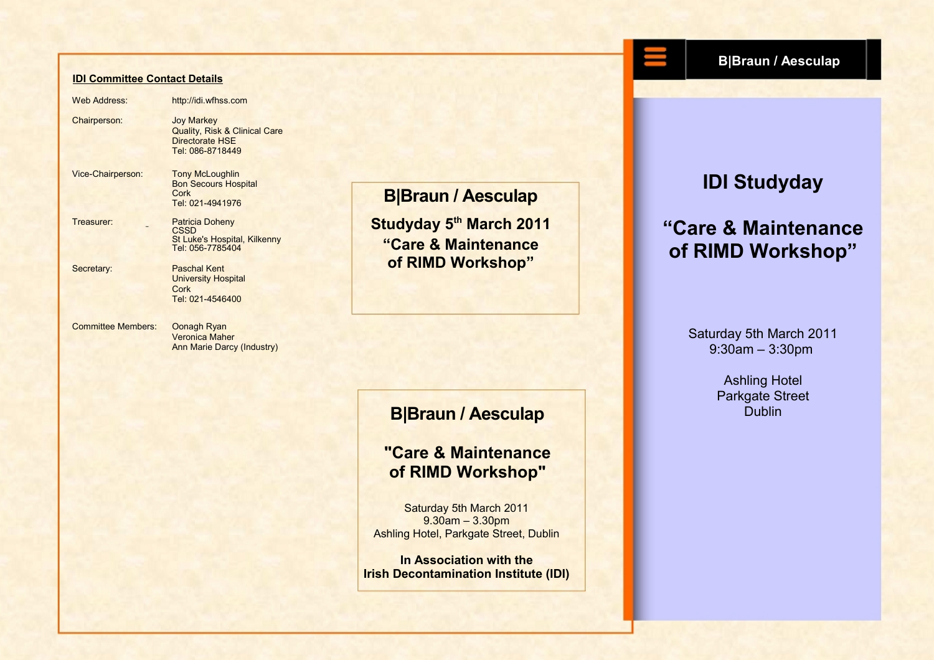#### **IDI Committee Contact Details**

Web Address: http://idi.wfhss.com Chairperson: Joy Markey Quality, Risk & Clinical Care Directorate HSE Tel: 086-8718449 Vice-Chairperson: Tony McLoughlin Bon Secours Hospital Cork Tel: 021-4941976 Treasurer: Patricia Doheny **CSSD** St Luke's Hospital, Kilkenny Tel: 056-7785404 Secretary: Paschal Kent University Hospital Cork Tel: 021-4546400 Committee Members: Oonagh Ryan Veronica Maher

Ann Marie Darcy (Industry)

**B|Braun / Aesculap**

**Studyday 5th March 2011 "Care & Maintenance of RIMD Workshop"**

### **B|Braun / Aesculap**

### **"Care & Maintenance of RIMD Workshop"**

Saturday 5th March 2011 9.30am – 3.30pm Ashling Hotel, Parkgate Street, Dublin

**In Association with the Irish Decontamination Institute (IDI)**

#### **B|Braun / Aesculap**

# **IDI Studyday**

# **"Care & Maintenance of RIMD Workshop"**

Saturday 5th March 2011 9:30am – 3:30pm

> Ashling Hotel Parkgate Street **Dublin**